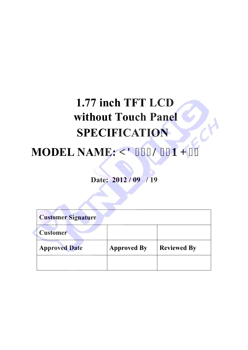# **1.77 inch TFT LCD MODEL NAME: [ F399N36P J 23 without Touch Panel SPECIFICATION**

**Date: 2012 / 09 / 19**

| <b>Customer Signature</b> |                    |                    |  |  |
|---------------------------|--------------------|--------------------|--|--|
| <b>Customer</b>           |                    |                    |  |  |
| <b>Approved Date</b>      | <b>Approved By</b> | <b>Reviewed By</b> |  |  |
|                           |                    |                    |  |  |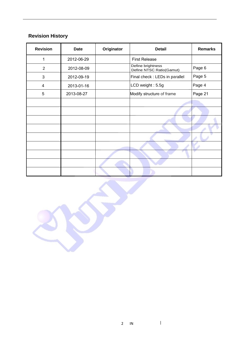# **Revision History**

| <b>Revision</b> | <b>Date</b> | Originator | <b>Detail</b>                                 | <b>Remarks</b> |
|-----------------|-------------|------------|-----------------------------------------------|----------------|
| 1               | 2012-06-29  |            | <b>First Release</b>                          |                |
| $\overline{2}$  | 2012-08-09  |            | Define brightness<br>Define NTSC Ratio(Gamut) | Page 6         |
| 3               | 2012-09-19  |            | Final check : LEDs in parallel                | Page 5         |
| 4               | 2013-01-16  |            | LCD weight: 5.5g                              | Page 4         |
| 5               | 2013-08-27  |            | Modify structure of frame                     | Page 21        |
|                 |             |            |                                               |                |
|                 |             |            |                                               |                |
|                 |             |            |                                               |                |
|                 |             |            |                                               |                |
|                 |             |            |                                               |                |
|                 |             |            |                                               |                |
|                 |             |            |                                               | ٠              |
|                 |             |            |                                               |                |
|                 |             |            |                                               |                |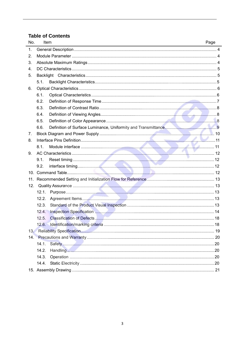# **Table of Contents**

| No.              | Item  | Page |
|------------------|-------|------|
| 1.               |       |      |
| 2.               |       |      |
| 3.               |       |      |
| $\overline{4}$ . |       |      |
| 5.               |       |      |
|                  | 5.1.  |      |
| 6.               |       |      |
|                  | 6.1.  |      |
|                  | 6.2.  |      |
|                  | 6.3.  |      |
|                  | 6.4.  |      |
|                  | 6.5.  |      |
|                  | 6.6.  |      |
| 7.               |       |      |
| 8.               |       |      |
|                  | 8.1.  |      |
| 9.               |       |      |
|                  | 9.1.  |      |
|                  | 9.2.  |      |
|                  |       |      |
|                  |       |      |
| 12.              |       |      |
|                  | 12.1. |      |
|                  | 12.2. |      |
|                  | 12.3. |      |
|                  | 12.4. |      |
|                  | 12.5. |      |
|                  | 12.6. | 18   |
| 13.              |       |      |
|                  |       |      |
|                  | 14.1. |      |
|                  | 14.2. |      |
|                  | 14.3. |      |
|                  | 14.4. |      |
|                  |       |      |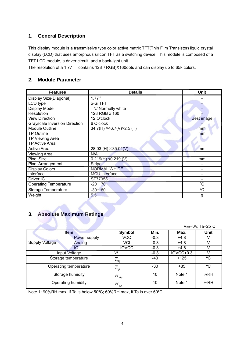## **1. General Description**

This display module is a transmissive type color active matrix TFT(Thin Film Transistor) liquid crystal display (LCD) that uses amorphous silicon TFT as a switching device. This module is composed of a TFT LCD module, a driver circuit, and a back-light unit.

The resolution of a 1.77" contains 128 (RGB)X160dots and can display up to 65k colors.

## **2. Module Parameter**

| <b>Features</b>                      | <b>Details</b>              | Unit       |
|--------------------------------------|-----------------------------|------------|
| Display Size(Diagonal)               | 1.77"                       |            |
| LCD type                             | α-Si TFT                    |            |
| Display Mode                         | TN/ Normally white          |            |
| Resolution                           | 128 RGB x 160               |            |
| <b>View Direction</b>                | 12 O'clock                  | Best image |
| <b>Grayscale Inversion Direction</b> | 6 O'clock                   |            |
| Module Outline                       | 34.7(H) ×46.7(V)×2.5(T)     | mm         |
| <b>TP Outline</b>                    |                             | mm         |
| TP Viewing Area                      |                             |            |
| TP Active Area                       |                             |            |
| <b>Active Area</b>                   | 28.03 (H) $\times$ 35.04(V) | mm         |
| <b>Viewing Area</b>                  | N/A                         |            |
| <b>Pixel Size</b>                    | $0.219(H)$ x0.219 (V)       | mm         |
| <b>Pixel Arrangement</b>             | <b>Stripe</b>               |            |
| <b>Display Colors</b>                | <b>NORMAL WHITE</b>         |            |
| Interface                            | <b>MCU</b> interface        |            |
| Driver IC                            | <b>ST7735S</b>              |            |
| <b>Operating Temperature</b>         | $-20 - 70$                  | °C         |
| Storage Temperature                  | $-30 - 80$                  | °C         |
| Weight                               | 5.5                         | g          |

## **3. Absolute Maximum Ratings**

|                       |              |                       |        |           | $V_{SS}$ =0V, Ta=25°C |
|-----------------------|--------------|-----------------------|--------|-----------|-----------------------|
| <b>Item</b>           | Symbol       | Min.                  | Max.   | Unit      |                       |
|                       | Power supply | VCC                   | $-0.3$ | $+4.8$    |                       |
| <b>Supply Voltage</b> | Analog       | VCI                   | $-0.3$ | $+4.8$    |                       |
|                       | IO           | <b>IOVCC</b>          | $-0.3$ | $+4.6$    |                       |
| Input Voltage         |              | Vi                    | $-0.3$ | IOVCC+0.3 |                       |
| Storage temperature   |              | T<br>stg              | $-40$  | $+125$    | °C                    |
| Operating temperature |              | $\overline{T}$<br>op  | -30    | $+85$     | °C                    |
| Storage humidity      |              | $H_{_{\mathit{stg}}}$ | 10     | Note 1    | %RH                   |
| Operating humidity    |              | $H_{_{op}}$           | 10     | Note 1    | %RH                   |

Note 1: 90%RH max, If Ta is below 50ºC; 60%RH max, If Ta is over 60ºC.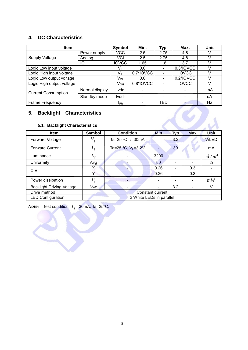# **4. DC Characteristics**

| <b>Item</b>                | Symbol         | Min.                       | Typ.      | Max.                         | Unit         |    |
|----------------------------|----------------|----------------------------|-----------|------------------------------|--------------|----|
|                            | Power supply   | VCC                        | 2.5       | 2.75                         | 4.8          | v  |
| <b>Supply Voltage</b>      | Analog         | VCI                        | 2.5       | 2.75                         | 4.8          | v  |
|                            | IО             | <b>IOVCC</b>               | 1.65      | 1.8                          | 3.7          |    |
| Logic Low input voltage    |                | V <sub>IL</sub>            | 0.0       | $\overline{\phantom{a}}$     | 0.3*IOVCC    |    |
| Logic High input voltage   |                | V <sub>IH</sub>            | 0.7*IOVCC | $\qquad \qquad \blacksquare$ | <b>IOVCC</b> |    |
| Logic Low output voltage   |                | $V_{OL}$                   | 0.0       | $\overline{\phantom{a}}$     | 0.2*IOVCC    | v  |
| Logic High output voltage  |                | $V_{OH}$                   | 0.8*IOVCC |                              | <b>IOVCC</b> | V  |
| <b>Current Consumption</b> | Normal display | <b>Ivdd</b>                |           |                              |              | mA |
|                            | Standby mode   | Ivdd-                      |           |                              |              | uA |
| Frame Frequency            |                | $\mathsf{f}_{\mathsf{FR}}$ | -         | TBD                          |              | Hz |

# **5. Backlight Characteristics**

## **5.1. Backlight Characteristics**

| 5.<br><b>Backlight Characteristics</b><br>5.1. Backlight Characteristics |                              |                          |            |     |            |              |
|--------------------------------------------------------------------------|------------------------------|--------------------------|------------|-----|------------|--------------|
| <b>Item</b>                                                              | Symbol                       | <b>Condition</b>         | <b>Min</b> | Typ | <b>Max</b> | Unit         |
| <b>Forward Voltage</b>                                                   | $V_{_f}$                     | Ta=25 $°C, I_F=30mA$     |            | 3.2 |            | <b>V/LED</b> |
| <b>Forward Current</b>                                                   | $I_f$                        | Ta=25 °C, $V_F$ =3.2V    |            | 30  |            | mA           |
| Luminance                                                                | $L_{\!\scriptscriptstyle V}$ |                          | 3200       |     |            | $cd/m^2$     |
| Uniformity                                                               | Avg                          |                          | 80         | ۳   |            | $\%$         |
| <b>CIE</b>                                                               | X.                           |                          | 0.26       |     | 0.3        |              |
|                                                                          | Y                            |                          | 0.26       |     | 0.3        |              |
| Power dissipation                                                        | $P_d$                        |                          | ۰          |     |            | mW           |
| <b>Backlight Driving Voltage</b>                                         | <b>VAK</b>                   |                          |            | 3.2 | -          | v            |
| Drive method                                                             | Constant current             |                          |            |     |            |              |
| <b>LED Configuration</b>                                                 |                              | 2 White LEDs in parallel |            |     |            |              |

*Note:* Test condition  $I_f$  =30mA, Ta=25°C.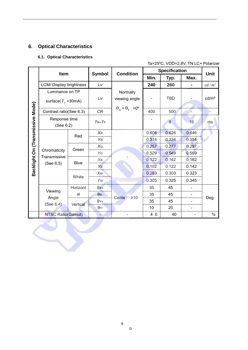# **6. Optical Characteristics**

## **6.1. Optical Characteristics**

EST

## Ta=25ºC, VDD=2.8V, TN LC+ Polarizer

|                                  | Item                       |             | <b>Symbol</b> | <b>Condition</b>                |       | <b>Specification</b> |       | Unit              |
|----------------------------------|----------------------------|-------------|---------------|---------------------------------|-------|----------------------|-------|-------------------|
|                                  |                            |             |               |                                 | Min.  | Typ.                 | Max.  |                   |
|                                  | LCM/ Display brightness    |             | Lv            |                                 | 240   | 260                  |       | $cd/m^2$          |
|                                  | Luminance on TP            |             |               | Normally                        |       |                      |       |                   |
|                                  | surface( $I_f$ =30mA)      |             | Lv            | viewing angle                   |       | <b>TBD</b>           |       | cd/m <sup>2</sup> |
|                                  | Contrast ratio(See 6.3)    |             | CR            | $\theta_x = \theta_y = 0^\circ$ | 400   | 500                  |       |                   |
| Backlight On (Transmissive Mode) | Response time<br>(See 6.2) |             | $TR+TF$       |                                 |       | 8                    | 16    | ms                |
|                                  |                            | Red         | <b>XR</b>     |                                 | 0.606 | 0.626                | 0.646 |                   |
|                                  |                            |             | YR            |                                 | 0.314 | 0.334                | 0.354 |                   |
|                                  |                            | Green       | XG            |                                 | 0.257 | 0.277                | 0.297 |                   |
|                                  | Chromaticity               |             | YG            |                                 | 0.529 | 0.549                | 0.569 |                   |
|                                  | Transmissive               | <b>Blue</b> | $X_B$         |                                 | 0.122 | 0.142                | 0.162 |                   |
|                                  | (See 6.5)                  |             | YB            |                                 | 0.102 | 0.122                | 0.142 |                   |
|                                  |                            | White       | Xw            |                                 | 0.283 | 0.303                | 0.323 |                   |
|                                  |                            |             | Yw            |                                 | 0.305 | 0.325                | 0.345 |                   |
|                                  |                            | Horizont    | $\theta$ X+   |                                 | 35    | 45                   |       |                   |
|                                  | Viewing                    | al          | $\theta$ x-   | Cente<br>$\geq 10$              | 35    | 45                   |       |                   |
|                                  | Angle<br>(See 6.4)         | Vertical    | $\theta$ Y+   |                                 | 35    | 45                   |       | Deg.              |
|                                  |                            |             | $\theta$ Y-   |                                 | 10    | 20                   |       |                   |
|                                  | <b>NTSC Ratio(Gamut)</b>   |             | L,            |                                 | 4 0   | 40                   |       | $\%$              |

o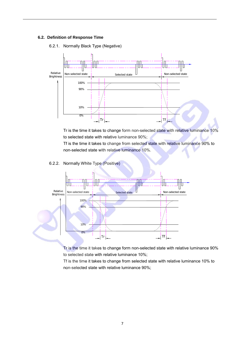#### **6.2. Definition of Response Time**

#### 6.2.1. Normally Black Type (Negative)



Tr is the time it takes to change form non-selected state with relative luminance 10% to selected state with relative luminance 90%;

Tf is the time it takes to change from selected state with relative luminance 90% to non-selected state with relative luminance 10%.

#### 6.2.2. Normally White Type (Positive)



Tr is the time it takes to change form non-selected state with relative luminance 90% to selected state with relative luminance 10%;

Tf is the time it takes to change from selected state with relative luminance 10% to non-selected state with relative luminance 90%;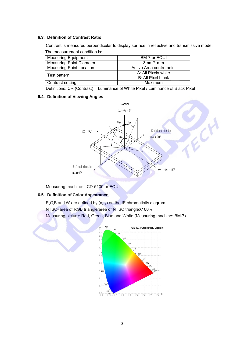#### **6.3. Definition of Contrast Ratio**

Contrast is measured perpendicular to display surface in reflective and transmissive mode. The measurement condition is:

| <b>Measuring Equipment</b>      | BM-7 or EQUI             |
|---------------------------------|--------------------------|
| <b>Measuring Point Diameter</b> | 3mm/1mm                  |
| <b>Measuring Point Location</b> | Active Area centre point |
|                                 | A: All Pixels white      |
| Test pattern                    | B: All Pixel black       |
| Contrast setting                | Maximum                  |

Definitions: CR (Contrast) = Luminance of White Pixel / Luminance of Black Pixel

#### **6.4. Definition of Viewing Angles**



Measuring machine: LCD-5100 or EQUI

#### **6.5. Definition of Color Appearance**

 $R, G, B$  and W are defined by  $(x, y)$  on the IE chromaticity diagram NTSC=area of RGB triangle/area of NTSC triangleX100% Measuring picture: Red, Green, Blue and White (Measuring machine: BM-7)

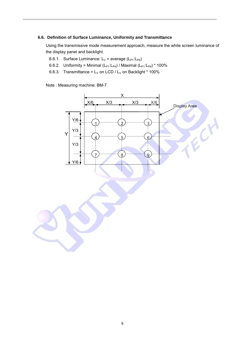#### **6.6. Definition of Surface Luminance, Uniformity and Transmittance**

Using the transmissive mode measurement approach, measure the white screen luminance of the display panel and backlight.

- 6.6.1. Surface Luminance:  $L_V$  = average ( $L_{P1}:L_{P9}$ )
- 6.6.2. Uniformity = Minimal  $(L_{P1}:L_{P9})$  / Maximal  $(L_{P1}:L_{P9})$  \* 100%
- 6.6.3. Transmittance =  $L_V$  on LCD /  $L_V$  on Backlight \* 100%

Note : Measuring machine: BM-7

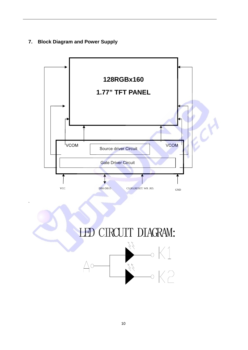## **7. Block Diagram and Power Supply**

`

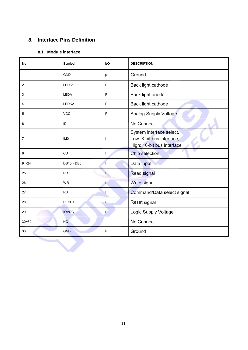# **8. Interface Pins Definition**

## **8.1. Module interface**

 $\blacktriangledown$ 

| No.            | Symbol          | <b>VO</b>    | <b>DESCRIPTION</b>                                                                  |  |
|----------------|-----------------|--------------|-------------------------------------------------------------------------------------|--|
| 1              | <b>GND</b>      | p            | Ground                                                                              |  |
| 2              | LEDK1           | P            | Back light cathode                                                                  |  |
| 3              | LEDA            | P            | Back light anode                                                                    |  |
| 4              | LEDK2           | P            | Back light cathode                                                                  |  |
| 5              | <b>VCC</b>      | P            | <b>Analog Supply Voltage</b>                                                        |  |
| 6              | ID              |              | No Connect                                                                          |  |
| $\overline{7}$ | IM <sub>0</sub> | <sup>1</sup> | System interface select.<br>Low: 8-bit bus interface,<br>High: 16-bit bus interface |  |
| 8              | <b>CS</b>       | T            | <b>Chip selection</b>                                                               |  |
| $9 - 24$       | $DB15\neg DB0$  |              | Data input                                                                          |  |
| 25             | <b>RD</b>       | Ð            | <b>Read signal</b>                                                                  |  |
| 26             | <b>WR</b>       | 4.           | Write signal                                                                        |  |
| 27             | <b>RS</b>       | J            | Command/Data select signal                                                          |  |
| 28             | <b>RESET</b>    | J.           | Reset signal                                                                        |  |
| 29             | <b>IOVCC</b>    | P            | Logic Supply Voltage                                                                |  |
| $30 - 32$      | <b>NC</b>       |              | No Connect                                                                          |  |
| 33             | <b>GND</b>      | P            | Ground                                                                              |  |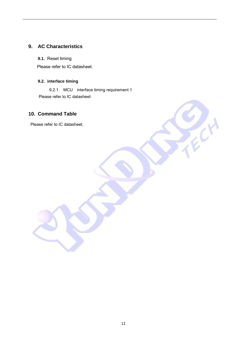## **9. AC Characteristics**

**9.1.** Reset timing

Please refer to IC datasheet.

#### **9.2. interface timing**

9.2.1. MCU interface timing requirement 1 Please refer to IC datasheet

## **10. Command Table**

Please refer to IC datasheet.

Acco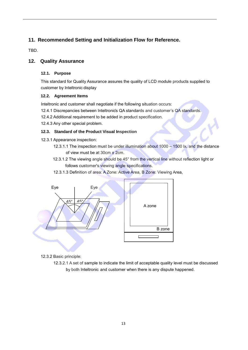## **11. Recommended Setting and Initialization Flow for Reference.**

TBD.

## **12. Quality Assurance**

## **12.1. Purpose**

This standard for Quality Assurance assures the quality of LCD module products supplied to customer by Inteltronic display.

#### **12.2. Agreement Items**

Inteltronic and customer shall negotiate if the following situation occurs:

12.4.1 Discrepancies between Inteltronics QA standards and customer's QA standards.

12.4.2 Additional requirement to be added in product specification.

12.4.3 Any other special problem.

## **12.3. Standard of the Product Visual Inspection**

- 12.3.1 Appearance inspection:
	- 12.3.1.1 The inspection must be under illumination about 1000 1500 lx, and the distance of view must be at 30cm ± 2cm.
	- 12.3.1.2 The viewing angle should be 45° from the vertical line without reflection light or follows customer's viewing angle specifications.
	- 12.3.1.3 Definition of area: A Zone: Active Area, B Zone: Viewing Area,



12.3.2 Basic principle:

 12.3.2.1 A set of sample to indicate the limit of acceptable quality level must be discussed by both Inteltronic and customer when there is any dispute happened.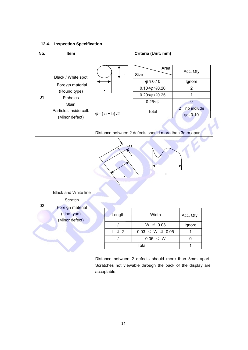## **12.4. Inspection Specification**

| No. | Item                                                                      | Criteria (Unit: mm)    |                                                        |                                                  |  |
|-----|---------------------------------------------------------------------------|------------------------|--------------------------------------------------------|--------------------------------------------------|--|
|     |                                                                           |                        | Area<br>Size                                           | Acc. Qty                                         |  |
|     | Black / White spot                                                        |                        | $\phi \leqslant 0.10$                                  | Ignore                                           |  |
|     | Foreign material                                                          |                        | $0.10 < \phi \leq 0.20$                                | $\overline{2}$                                   |  |
| 01  | (Round type)<br>Pinholes                                                  |                        | $0.20 < \phi \le 0.25$                                 | 1                                                |  |
|     | Stain                                                                     |                        | $0.25 < \phi$                                          | $\mathbf 0$                                      |  |
|     | Particles inside cell.<br>(Minor defect)                                  | $\varphi$ = (a + b) /2 | Total                                                  | no include<br>$\overline{2}$<br>$\phi \leq 0.10$ |  |
|     |                                                                           |                        | Distance between 2 defects should more than 3mm apart. |                                                  |  |
|     |                                                                           | $\overline{M}$         | I.                                                     |                                                  |  |
| 02  | <b>Black and White line</b><br>Scratch<br>Foreign material<br>(Line type) | Length                 | Width                                                  | Acc. Qty                                         |  |
|     | (Minor defect)                                                            | $\prime$               | $W \leq 0.03$                                          | Ignore                                           |  |
|     |                                                                           | $L \cong 2$            | $0.03 < W \le 0.05$                                    | 1                                                |  |
|     |                                                                           | $\prime$               | 0.05 < W                                               | 0                                                |  |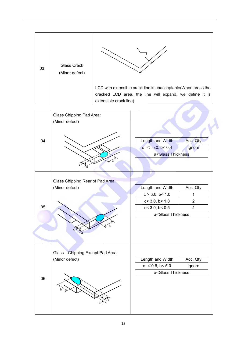| 03 | Glass Crack<br>(Minor defect) |                                                               |
|----|-------------------------------|---------------------------------------------------------------|
|    |                               | LCD with extensible crack line is unacceptable(When press the |
|    |                               | cracked LCD area, the line will expand, we define it is       |
|    |                               | extensible crack line)                                        |

|    | Glass Chipping Pad Area:<br>(Minor defect) |                                                                                                           |                    |  |
|----|--------------------------------------------|-----------------------------------------------------------------------------------------------------------|--------------------|--|
| 04 |                                            | Length and Width<br>c < 5.0, b < 0.4<br>a <glass th="" thickness<=""><th>Acc. Qty<br/>Ignore</th></glass> | Acc. Qty<br>Ignore |  |
|    | Glass Chipping Rear of Pad Area:           |                                                                                                           |                    |  |
|    | (Minor defect)                             | Length and Width                                                                                          | Acc. Qty           |  |
|    |                                            | c > 3.0, b < 1.0                                                                                          | 1                  |  |
|    |                                            | c < 3.0, b < 1.0                                                                                          | $\overline{2}$     |  |
| 05 |                                            | $c<$ 3.0, $b<$ 0.5                                                                                        | $\overline{4}$     |  |
|    |                                            | a <glass td="" thickness<=""></glass>                                                                     |                    |  |
|    |                                            |                                                                                                           |                    |  |
|    | Chipping Except Pad Area:<br>Glass         |                                                                                                           |                    |  |
|    | (Minor defect)                             | Length and Width                                                                                          | Acc. Qty           |  |
|    |                                            | $c \le 0.6$ , b< 5.0                                                                                      | Ignore             |  |
|    |                                            | a <glass td="" thickness<=""><td></td></glass>                                                            |                    |  |
| 06 |                                            |                                                                                                           |                    |  |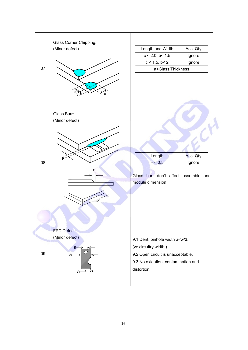|    | Glass Corner Chipping:<br>(Minor defect)                                 | Length and Width                                          | Acc. Qty                                                                                                            |  |
|----|--------------------------------------------------------------------------|-----------------------------------------------------------|---------------------------------------------------------------------------------------------------------------------|--|
|    |                                                                          | $c < 2.0$ , $b < 1.5$                                     | Ignore                                                                                                              |  |
|    |                                                                          | $c < 1.5$ , $b < 2$                                       | Ignore                                                                                                              |  |
| 07 |                                                                          | a <glass td="" thickness<=""><td></td></glass>            |                                                                                                                     |  |
|    |                                                                          |                                                           |                                                                                                                     |  |
|    | Glass Burr:<br>(Minor defect)                                            |                                                           |                                                                                                                     |  |
|    |                                                                          | Length                                                    | Acc. Qty                                                                                                            |  |
| 08 |                                                                          | F < 0.5                                                   | Ignore                                                                                                              |  |
|    |                                                                          | Glass burr don't affect assemble and<br>module dimension. |                                                                                                                     |  |
| 09 | FPC Defect:<br>(Minor defect)<br>$a -$<br>$W \rightarrow$<br>→∃←<br>$a-$ | (w: circuitry width.)<br>distortion.                      | 9.1 Dent, pinhole width a <w 3.<br="">9.2 Open circuit is unacceptable.<br/>9.3 No oxidation, contamination and</w> |  |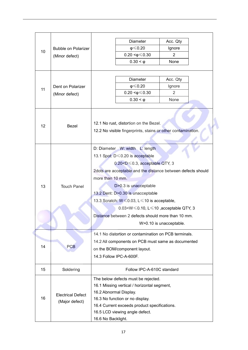|    |                            | <b>Diameter</b>                                                                                        | Acc. Qty       |  |  |
|----|----------------------------|--------------------------------------------------------------------------------------------------------|----------------|--|--|
| 10 | <b>Bubble on Polarizer</b> | $\phi \leq 0.20$                                                                                       | Ignore         |  |  |
|    | (Minor defect)             | $0.20 < \phi \leq 0.30$                                                                                | $\overline{2}$ |  |  |
|    |                            | $0.30 < \varphi$                                                                                       | None           |  |  |
|    |                            |                                                                                                        |                |  |  |
|    |                            |                                                                                                        |                |  |  |
| 11 |                            | Diameter                                                                                               | Acc. Qty       |  |  |
|    | Dent on Polarizer          | $\phi \leqslant 0.20$<br>$0.20 < \phi \leq 0.30$                                                       | Ignore<br>2    |  |  |
|    | (Minor defect)             | $0.30 < \phi$                                                                                          | None           |  |  |
|    |                            |                                                                                                        |                |  |  |
| 12 | Bezel                      | 12.1 No rust, distortion on the Bezel.<br>12.2 No visible fingerprints, stains or other contamination. |                |  |  |
|    |                            | D: Diameter W: width L: length                                                                         |                |  |  |
|    |                            | 13.1 Spot: D ≤ 0.20 is acceptable                                                                      |                |  |  |
|    |                            | 0.20 <d 0.3,="" 3<="" acceptable="" qty,="" td="" ≤=""></d>                                            |                |  |  |
|    |                            | 2dots are acceptable and the distance between defects should                                           |                |  |  |
|    |                            | more than 10 mm.                                                                                       |                |  |  |
|    | <b>Touch Panel</b>         | D>0.3 is unacceptable                                                                                  |                |  |  |
| 13 |                            | 13.2 Dent: D>0.30 is unacceptable                                                                      |                |  |  |
|    |                            |                                                                                                        |                |  |  |
|    |                            | 13.3 Scratch: W ≤ 0.03, L ≤ 10 is acceptable,                                                          |                |  |  |
|    |                            | 0.03 <w<math>\leq0.10, L<math>\leq</math>10, acceptable QTY, 3</w<math>                                |                |  |  |
|    |                            | Distance between 2 defects should more than 10 mm.                                                     |                |  |  |
|    |                            | W>0.10 is unacceptable.                                                                                |                |  |  |
|    |                            | 14.1 No distortion or contamination on PCB terminals.                                                  |                |  |  |
|    |                            | 14.2 All components on PCB must same as documented                                                     |                |  |  |
| 14 | <b>PCB</b>                 | on the BOM/component layout.                                                                           |                |  |  |
|    |                            | 14.3 Follow IPC-A-600F.                                                                                |                |  |  |
|    |                            |                                                                                                        |                |  |  |
| 15 | Soldering                  | Follow IPC-A-610C standard                                                                             |                |  |  |
|    |                            | The below defects must be rejected.                                                                    |                |  |  |
|    |                            | 16.1 Missing vertical / horizontal segment,                                                            |                |  |  |
|    | <b>Electrical Defect</b>   | 16.2 Abnormal Display.                                                                                 |                |  |  |
| 16 | (Major defect)             | 16.3 No function or no display.                                                                        |                |  |  |
|    |                            | 16.4 Current exceeds product specifications.                                                           |                |  |  |
|    |                            | 16.5 LCD viewing angle defect.                                                                         |                |  |  |
|    |                            | 16.6 No Backlight.                                                                                     |                |  |  |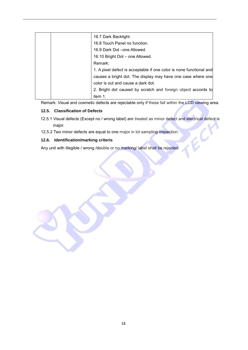|  | 16.7 Dark Backlight.                                                |
|--|---------------------------------------------------------------------|
|  | 16.8 Touch Panel no function.                                       |
|  | 16.9 Dark Dot – one Allowed.                                        |
|  | 16.10 Bright Dot - one Allowed.                                     |
|  | Remark:                                                             |
|  | 1. A pixel defect is acceptable if one color is none functional and |
|  | causes a bright dot. The display may have one case where one        |
|  | color is out and cause a dark dot.                                  |
|  | 2. Bright dot caused by scratch and foreign object accords to       |
|  | item 1.                                                             |

Remark: Visual and cosmetic defects are rejectable only if these fall within the LCD viewing area.

#### **12.5. Classification of Defects**

 12.5.1 Visual defects (Except no / wrong label) are treated as minor defect and electrical defect is major.

Ø.

12.5.2 Two minor defects are equal to one major in lot sampling inspection.

#### **12.6. Identification/marking criteria**

Any unit with illegible / wrong /double or no marking/ label shall be rejected.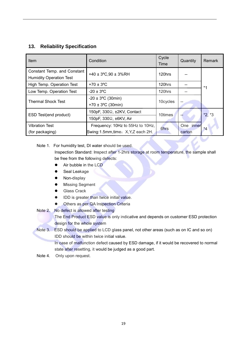## **13. Reliability Specification**

| Item                                                          | Condition                                                            | Cycle<br>Time | Quantity            | Remark  |  |
|---------------------------------------------------------------|----------------------------------------------------------------------|---------------|---------------------|---------|--|
| Constant Temp. and Constant<br><b>Humidity Operation Test</b> | +40 ± $3^{\circ}$ C,90 ± $3^{\circ}$ GRH                             | 120hrs        |                     | $*1$    |  |
| High Temp. Operation Test                                     | $+70 \pm 3$ °C                                                       | 120hrs        |                     |         |  |
| Low Temp. Operation Test                                      | $-20 \pm 3$ <sup>o</sup> C                                           | 120hrs        |                     |         |  |
| <b>Thermal Shock Test</b>                                     | $-20 \pm 3$ °C (30min)<br>+70 $\pm$ 3°C (30min)                      | 10cycles      |                     |         |  |
| ESD Test(end product)                                         | 150pF, 330 $\Omega$ , ±2KV, Contact                                  | 10times       |                     | $*2.*3$ |  |
|                                                               | 150pF, 330 $\Omega$ , ±6KV, Air                                      |               |                     |         |  |
| <b>Vibration Test</b><br>(for packaging)                      | Frequency: 10Hz to 55Hz to 10Hz,<br>Swing:1.5mm,time: X,Y,Z each 2H. | 6hrs          | One inner<br>carton | $*_{4}$ |  |

#### Note 1. For humidity test, DI water should be used.

Inspection Standard: Inspect after 1-2hrs storage at room temperature, the sample shall be free from the following defects:

- Air bubble in the LCD
- Seal Leakage
- Non-display
- **Missing Segment**
- **Glass Crack**
- IDD is greater than twice initial value.
- **•** Others as per QA Inspection Criteria
- Note 2. No defect is allowed after testing

The End Product ESD value is only indicative and depends on customer ESD protection design for the whole system

Note 3. ESD should be applied to LCD glass panel, not other areas (such as on IC and so on) IDD should be within twice initial value.

In case of malfunction defect caused by ESD damage, if it would be recovered to normal state after resetting, it would be judged as a good part.

Note 4. Only upon request.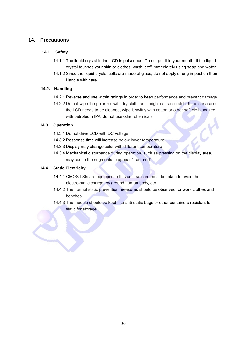## **14. Precautions**

#### **14.1. Safety**

- 14.1.1 The liquid crystal in the LCD is poisonous. Do not put it in your mouth. If the liquid crystal touches your skin or clothes, wash it off immediately using soap and water.
- 14.1.2 Since the liquid crystal cells are made of glass, do not apply strong impact on them. Handle with care.

#### **14.2. Handling**

- 14.2.1 Reverse and use within ratings in order to keep performance and prevent damage.
- 14.2.2 Do not wipe the polarizer with dry cloth, as it might cause scratch. If the surface of the LCD needs to be cleaned, wipe it swiftly with cotton or other soft cloth soaked with petroleum IPA, do not use other chemicals.

#### **14.3. Operation**

- 14.3.1 Do not drive LCD with DC voltage
- 14.3.2 Response time will increase below lower temperature
- 14.3.3 Display may change color with different temperature
- 14.3.4 Mechanical disturbance during operation, such as pressing on the display area, may cause the segments to appear "fractured".

#### **14.4. Static Electricity**

- 14.4.1 CMOS LSIs are equipped in this unit, so care must be taken to avoid the electro-static charge, by ground human body, etc.
- 14.4.2 The normal static prevention measures should be observed for work clothes and benches.
- 14.4.3 The module should be kept into anti-static bags or other containers resistant to static for storage.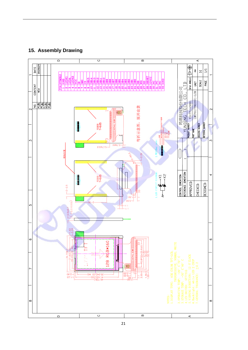



21